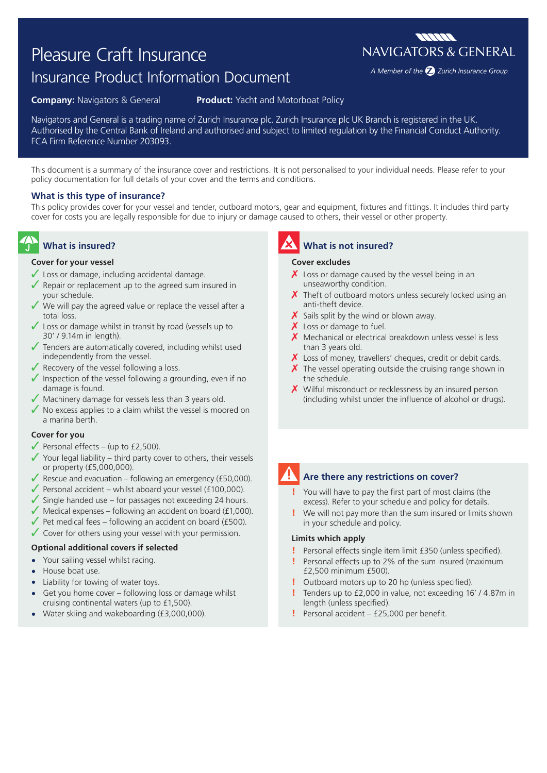# Pleasure Craft Insurance

# Insurance Product Information Document

**Company:** Navigators & General **Product:** Yacht and Motorboat Policy

Navigators and General is a trading name of Zurich Insurance plc. Zurich Insurance plc UK Branch is registered in the UK. Authorised by the Central Bank of Ireland and authorised and subject to limited regulation by the Financial Conduct Authority. FCA Firm Reference Number 203093.

This document is a summary of the insurance cover and restrictions. It is not personalised to your individual needs. Please refer to your policy documentation for full details of your cover and the terms and conditions.

### **What is this type of insurance?**

This policy provides cover for your vessel and tender, outboard motors, gear and equipment, fixtures and fittings. It includes third party cover for costs you are legally responsible for due to injury or damage caused to others, their vessel or other property.

# **What is insured?**

#### **Cover for your vessel**

- $\checkmark$  Loss or damage, including accidental damage.
- $\sqrt{\ }$  Repair or replacement up to the agreed sum insured in your schedule.
- $\sqrt{\ }$  We will pay the agreed value or replace the vessel after a total loss.
- ✓ Loss or damage whilst in transit by road (vessels up to 30' / 9.14m in length).
- $\sqrt{\ }$  Tenders are automatically covered, including whilst used independently from the vessel.
- $\sqrt{\ }$  Recovery of the vessel following a loss.
- $\sqrt{\ }$  Inspection of the vessel following a grounding, even if no damage is found.
- $\sqrt{\ }$  Machinery damage for vessels less than 3 years old.
- $\sqrt{\ }$  No excess applies to a claim whilst the vessel is moored on a marina berth.

### **Cover for you**

- $\blacktriangledown$  Personal effects (up to £2,500).
- $\checkmark$  Your legal liability third party cover to others, their vessels or property (£5,000,000).
- $✓$  Rescue and evacuation following an emergency (£50,000).
- $\blacktriangledown$  Personal accident whilst aboard your vessel (£100,000).
- $\checkmark$  Single handed use for passages not exceeding 24 hours.
- $\blacktriangledown$  Medical expenses following an accident on board (£1,000).
- $\sqrt{\ }$  Pet medical fees following an accident on board (£500).
- $\sqrt{\ }$  Cover for others using your vessel with your permission.

### **Optional additional covers if selected**

- **•** Your sailing vessel whilst racing.
- **•** House boat use.
- **•** Liability for towing of water toys.
- **•** Get you home cover following loss or damage whilst cruising continental waters (up to £1,500).
- **•** Water skiing and wakeboarding (£3,000,000).

## **What is not insured?**

#### **Cover excludes**

- $\chi$  Loss or damage caused by the vessel being in an unseaworthy condition.
- $\chi$  Theft of outboard motors unless securely locked using an anti-theft device.
- $\boldsymbol{X}$  Sails split by the wind or blown away.
- $\boldsymbol{X}$  Loss or damage to fuel.
- $\boldsymbol{X}$  Mechanical or electrical breakdown unless vessel is less than 3 years old.
- $\chi$  Loss of money, travellers' cheques, credit or debit cards.
- $\boldsymbol{X}$  The vessel operating outside the cruising range shown in the schedule.
- $\boldsymbol{X}$  Wilful misconduct or recklessness by an insured person (including whilst under the influence of alcohol or drugs).

## **Are there any restrictions on cover?**

- ! You will have to pay the first part of most claims (the excess). Refer to your schedule and policy for details.
- We will not pay more than the sum insured or limits shown in your schedule and policy.

### **Limits which apply**

- Personal effects single item limit £350 (unless specified).
- Personal effects up to 2% of the sum insured (maximum £2,500 minimum £500).
- Outboard motors up to 20 hp (unless specified).
- Tenders up to £2,000 in value, not exceeding 16' / 4.87m in length (unless specified).
- ! Personal accident £25,000 per benefit.

**MANA NAVIGATORS & GENERAL** 

A Member of the 2 Zurich Insurance Group